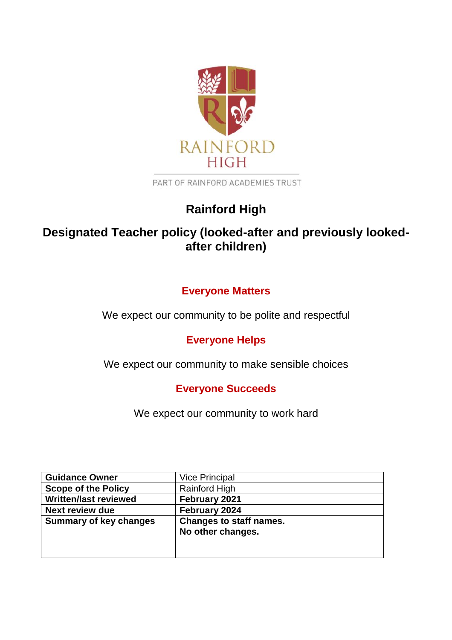

PART OF RAINFORD ACADEMIES TRUST

# **Rainford High**

# **Designated Teacher policy (looked-after and previously lookedafter children)**

# **Everyone Matters**

We expect our community to be polite and respectful

# **Everyone Helps**

We expect our community to make sensible choices

## **Everyone Succeeds**

We expect our community to work hard

| <b>Guidance Owner</b>                                           | Vice Principal       |
|-----------------------------------------------------------------|----------------------|
| <b>Scope of the Policy</b>                                      | <b>Rainford High</b> |
| <b>Written/last reviewed</b>                                    | February 2021        |
| <b>Next review due</b>                                          | February 2024        |
| <b>Changes to staff names.</b><br><b>Summary of key changes</b> |                      |
|                                                                 | No other changes.    |
|                                                                 |                      |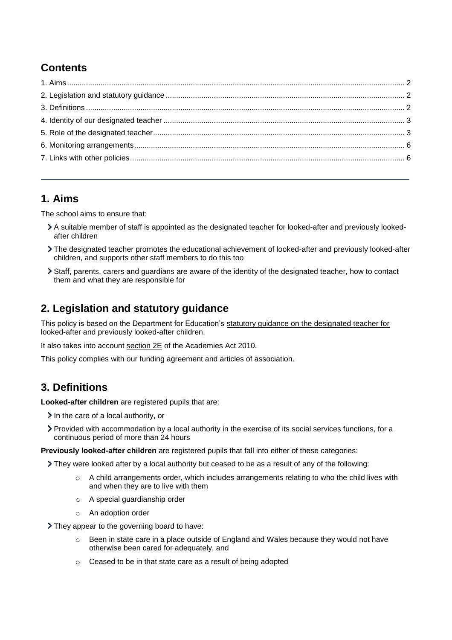# **Contents**

### <span id="page-1-0"></span>**1. Aims**

The school aims to ensure that:

- A suitable member of staff is appointed as the designated teacher for looked-after and previously lookedafter children
- The designated teacher promotes the educational achievement of looked-after and previously looked-after children, and supports other staff members to do this too
- Staff, parents, carers and guardians are aware of the identity of the designated teacher, how to contact them and what they are responsible for

## <span id="page-1-1"></span>**2. Legislation and statutory guidance**

This policy is based on the Department for Education's [statutory guidance on the designated teacher for](https://www.gov.uk/government/publications/designated-teacher-for-looked-after-children)  [looked-after and previously looked-after children.](https://www.gov.uk/government/publications/designated-teacher-for-looked-after-children)

It also takes into account [section 2E](http://www.legislation.gov.uk/ukpga/2010/32/section/2E) of the Academies Act 2010.

This policy complies with our funding agreement and articles of association.

### <span id="page-1-2"></span>**3. Definitions**

**Looked-after children** are registered pupils that are:

- $\sum$  In the care of a local authority, or
- Provided with accommodation by a local authority in the exercise of its social services functions, for a continuous period of more than 24 hours

**Previously looked-after children** are registered pupils that fall into either of these categories:

They were looked after by a local authority but ceased to be as a result of any of the following:

- o A child arrangements order, which includes arrangements relating to who the child lives with and when they are to live with them
- o A special guardianship order
- o An adoption order

They appear to the governing board to have:

- $\circ$  Been in state care in a place outside of England and Wales because they would not have otherwise been cared for adequately, and
- o Ceased to be in that state care as a result of being adopted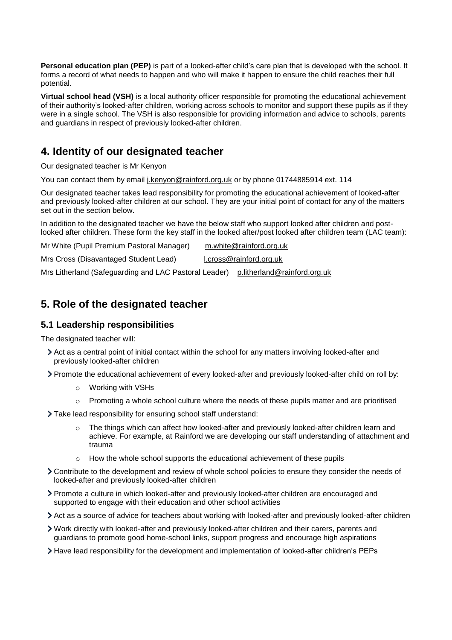**Personal education plan (PEP)** is part of a looked-after child's care plan that is developed with the school. It forms a record of what needs to happen and who will make it happen to ensure the child reaches their full potential.

**Virtual school head (VSH)** is a local authority officer responsible for promoting the educational achievement of their authority's looked-after children, working across schools to monitor and support these pupils as if they were in a single school. The VSH is also responsible for providing information and advice to schools, parents and guardians in respect of previously looked-after children.

### <span id="page-2-0"></span>**4. Identity of our designated teacher**

Our designated teacher is Mr Kenyon

You can contact them by email [j.kenyon@rainford.org.uk](mailto:j.kenyon@rainford.org.uk) or by phone 01744885914 ext. 114

Our designated teacher takes lead responsibility for promoting the educational achievement of looked-after and previously looked-after children at our school. They are your initial point of contact for any of the matters set out in the section below.

In addition to the designated teacher we have the below staff who support looked after children and postlooked after children. These form the key staff in the looked after/post looked after children team (LAC team):

| Mr White (Pupil Premium Pastoral Manager)             | m.white@rainford.org.uk      |
|-------------------------------------------------------|------------------------------|
| Mrs Cross (Disavantaged Student Lead)                 | l.cross@rainford.org.uk      |
| Mrs Litherland (Safeguarding and LAC Pastoral Leader) | p.litherland@rainford.org.uk |

### <span id="page-2-1"></span>**5. Role of the designated teacher**

#### **5.1 Leadership responsibilities**

The designated teacher will:

- Act as a central point of initial contact within the school for any matters involving looked-after and previously looked-after children
- Promote the educational achievement of every looked-after and previously looked-after child on roll by:
	- o Working with VSHs
	- $\circ$  Promoting a whole school culture where the needs of these pupils matter and are prioritised
- Take lead responsibility for ensuring school staff understand:
	- o The things which can affect how looked-after and previously looked-after children learn and achieve. For example, at Rainford we are developing our staff understanding of attachment and trauma
	- How the whole school supports the educational achievement of these pupils
- Contribute to the development and review of whole school policies to ensure they consider the needs of looked-after and previously looked-after children
- Promote a culture in which looked-after and previously looked-after children are encouraged and supported to engage with their education and other school activities
- Act as a source of advice for teachers about working with looked-after and previously looked-after children
- Work directly with looked-after and previously looked-after children and their carers, parents and guardians to promote good home-school links, support progress and encourage high aspirations
- Have lead responsibility for the development and implementation of looked-after children's PEPs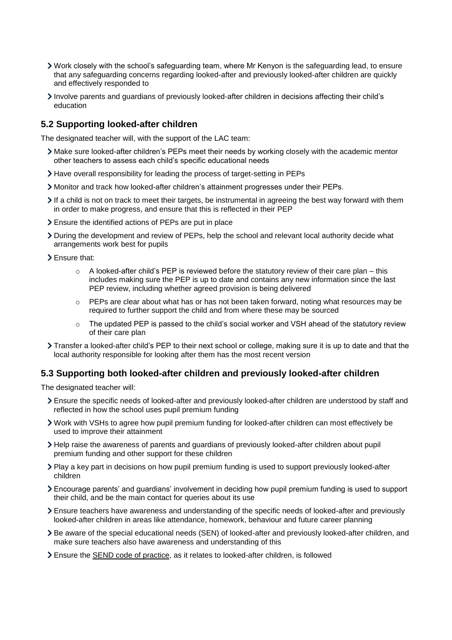- Work closely with the school's safeguarding team, where Mr Kenyon is the safeguarding lead, to ensure that any safeguarding concerns regarding looked-after and previously looked-after children are quickly and effectively responded to
- Involve parents and guardians of previously looked-after children in decisions affecting their child's education

#### **5.2 Supporting looked-after children**

The designated teacher will, with the support of the LAC team:

- Make sure looked-after children's PEPs meet their needs by working closely with the academic mentor other teachers to assess each child's specific educational needs
- Have overall responsibility for leading the process of target-setting in PEPs
- Monitor and track how looked-after children's attainment progresses under their PEPs.
- If a child is not on track to meet their targets, be instrumental in agreeing the best way forward with them in order to make progress, and ensure that this is reflected in their PEP
- Ensure the identified actions of PEPs are put in place
- During the development and review of PEPs, help the school and relevant local authority decide what arrangements work best for pupils
- > Ensure that:
	- $\circ$  A looked-after child's PEP is reviewed before the statutory review of their care plan this includes making sure the PEP is up to date and contains any new information since the last PEP review, including whether agreed provision is being delivered
	- $\circ$  PEPs are clear about what has or has not been taken forward, noting what resources may be required to further support the child and from where these may be sourced
	- $\circ$  The updated PEP is passed to the child's social worker and VSH ahead of the statutory review of their care plan
- Transfer a looked-after child's PEP to their next school or college, making sure it is up to date and that the local authority responsible for looking after them has the most recent version

#### **5.3 Supporting both looked-after children and previously looked-after children**

The designated teacher will:

- Ensure the specific needs of looked-after and previously looked-after children are understood by staff and reflected in how the school uses pupil premium funding
- Work with VSHs to agree how pupil premium funding for looked-after children can most effectively be used to improve their attainment
- Help raise the awareness of parents and guardians of previously looked-after children about pupil premium funding and other support for these children
- Play a key part in decisions on how pupil premium funding is used to support previously looked-after children
- Encourage parents' and guardians' involvement in deciding how pupil premium funding is used to support their child, and be the main contact for queries about its use
- Ensure teachers have awareness and understanding of the specific needs of looked-after and previously looked-after children in areas like attendance, homework, behaviour and future career planning
- Be aware of the special educational needs (SEN) of looked-after and previously looked-after children, and make sure teachers also have awareness and understanding of this
- Ensure the [SEND code of practice,](https://www.gov.uk/government/publications/send-code-of-practice-0-to-25) as it relates to looked-after children, is followed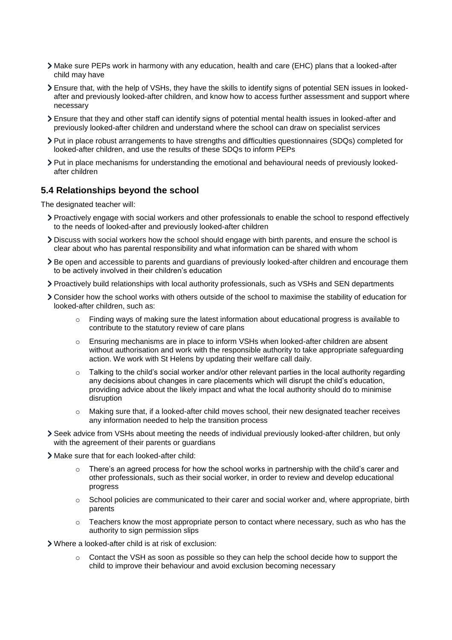- Make sure PEPs work in harmony with any education, health and care (EHC) plans that a looked-after child may have
- Ensure that, with the help of VSHs, they have the skills to identify signs of potential SEN issues in lookedafter and previously looked-after children, and know how to access further assessment and support where necessary
- Ensure that they and other staff can identify signs of potential mental health issues in looked-after and previously looked-after children and understand where the school can draw on specialist services
- Put in place robust arrangements to have strengths and difficulties questionnaires (SDQs) completed for looked-after children, and use the results of these SDQs to inform PEPs
- Put in place mechanisms for understanding the emotional and behavioural needs of previously lookedafter children

#### **5.4 Relationships beyond the school**

The designated teacher will:

- Proactively engage with social workers and other professionals to enable the school to respond effectively to the needs of looked-after and previously looked-after children
- Discuss with social workers how the school should engage with birth parents, and ensure the school is clear about who has parental responsibility and what information can be shared with whom
- Be open and accessible to parents and guardians of previously looked-after children and encourage them to be actively involved in their children's education
- Proactively build relationships with local authority professionals, such as VSHs and SEN departments
- Consider how the school works with others outside of the school to maximise the stability of education for looked-after children, such as:
	- o Finding ways of making sure the latest information about educational progress is available to contribute to the statutory review of care plans
	- o Ensuring mechanisms are in place to inform VSHs when looked-after children are absent without authorisation and work with the responsible authority to take appropriate safeguarding action. We work with St Helens by updating their welfare call daily.
	- $\circ$  Talking to the child's social worker and/or other relevant parties in the local authority regarding any decisions about changes in care placements which will disrupt the child's education, providing advice about the likely impact and what the local authority should do to minimise disruption
	- $\circ$  Making sure that, if a looked-after child moves school, their new designated teacher receives any information needed to help the transition process
- Seek advice from VSHs about meeting the needs of individual previously looked-after children, but only with the agreement of their parents or guardians
- Make sure that for each looked-after child:
	- There's an agreed process for how the school works in partnership with the child's carer and other professionals, such as their social worker, in order to review and develop educational progress
	- $\circ$  School policies are communicated to their carer and social worker and, where appropriate, birth parents
	- $\circ$  Teachers know the most appropriate person to contact where necessary, such as who has the authority to sign permission slips

Where a looked-after child is at risk of exclusion:

o Contact the VSH as soon as possible so they can help the school decide how to support the child to improve their behaviour and avoid exclusion becoming necessary